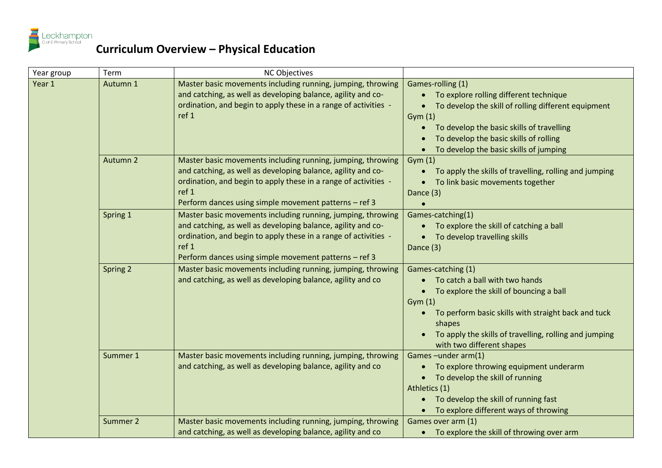

| Year group | Term     | <b>NC Objectives</b>                                                                                                                                                                                                                                             |                                                                                                                                                                                                                                                                   |
|------------|----------|------------------------------------------------------------------------------------------------------------------------------------------------------------------------------------------------------------------------------------------------------------------|-------------------------------------------------------------------------------------------------------------------------------------------------------------------------------------------------------------------------------------------------------------------|
| Year 1     | Autumn 1 | Master basic movements including running, jumping, throwing<br>and catching, as well as developing balance, agility and co-<br>ordination, and begin to apply these in a range of activities -<br>ref 1                                                          | Games-rolling (1)<br>• To explore rolling different technique<br>To develop the skill of rolling different equipment<br>Gym(1)<br>To develop the basic skills of travelling<br>To develop the basic skills of rolling<br>To develop the basic skills of jumping   |
|            | Autumn 2 | Master basic movements including running, jumping, throwing<br>and catching, as well as developing balance, agility and co-<br>ordination, and begin to apply these in a range of activities -<br>ref 1<br>Perform dances using simple movement patterns - ref 3 | Gym(1)<br>To apply the skills of travelling, rolling and jumping<br>To link basic movements together<br>Dance (3)                                                                                                                                                 |
|            | Spring 1 | Master basic movements including running, jumping, throwing<br>and catching, as well as developing balance, agility and co-<br>ordination, and begin to apply these in a range of activities -<br>ref 1<br>Perform dances using simple movement patterns - ref 3 | Games-catching(1)<br>To explore the skill of catching a ball<br>To develop travelling skills<br>Dance (3)                                                                                                                                                         |
|            | Spring 2 | Master basic movements including running, jumping, throwing<br>and catching, as well as developing balance, agility and co                                                                                                                                       | Games-catching (1)<br>To catch a ball with two hands<br>To explore the skill of bouncing a ball<br>Gym(1)<br>To perform basic skills with straight back and tuck<br>shapes<br>To apply the skills of travelling, rolling and jumping<br>with two different shapes |
|            | Summer 1 | Master basic movements including running, jumping, throwing<br>and catching, as well as developing balance, agility and co                                                                                                                                       | Games-under arm(1)<br>To explore throwing equipment underarm<br>$\bullet$<br>• To develop the skill of running<br>Athletics (1)<br>To develop the skill of running fast<br>To explore different ways of throwing                                                  |
|            | Summer 2 | Master basic movements including running, jumping, throwing<br>and catching, as well as developing balance, agility and co                                                                                                                                       | Games over arm (1)<br>• To explore the skill of throwing over arm                                                                                                                                                                                                 |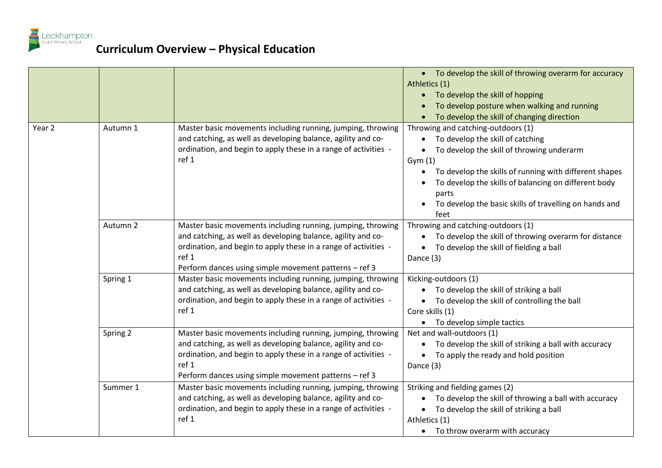

|        |          |                                                                                                                                                                                                                                                                  | • To develop the skill of throwing overarm for accuracy<br>Athletics (1)<br>• To develop the skill of hopping<br>To develop posture when walking and running<br>To develop the skill of changing direction                                                                                                                                           |
|--------|----------|------------------------------------------------------------------------------------------------------------------------------------------------------------------------------------------------------------------------------------------------------------------|------------------------------------------------------------------------------------------------------------------------------------------------------------------------------------------------------------------------------------------------------------------------------------------------------------------------------------------------------|
| Year 2 | Autumn 1 | Master basic movements including running, jumping, throwing<br>and catching, as well as developing balance, agility and co-<br>ordination, and begin to apply these in a range of activities -<br>ref 1                                                          | Throwing and catching-outdoors (1)<br>To develop the skill of catching<br>$\bullet$<br>To develop the skill of throwing underarm<br>$\bullet$<br>Gym(1)<br>To develop the skills of running with different shapes<br>To develop the skills of balancing on different body<br>parts<br>To develop the basic skills of travelling on hands and<br>feet |
|        | Autumn 2 | Master basic movements including running, jumping, throwing<br>and catching, as well as developing balance, agility and co-<br>ordination, and begin to apply these in a range of activities -<br>ref 1<br>Perform dances using simple movement patterns - ref 3 | Throwing and catching-outdoors (1)<br>To develop the skill of throwing overarm for distance<br>$\bullet$<br>To develop the skill of fielding a ball<br>Dance (3)                                                                                                                                                                                     |
|        | Spring 1 | Master basic movements including running, jumping, throwing<br>and catching, as well as developing balance, agility and co-<br>ordination, and begin to apply these in a range of activities -<br>ref 1                                                          | Kicking-outdoors (1)<br>To develop the skill of striking a ball<br>• To develop the skill of controlling the ball<br>Core skills (1)<br>• To develop simple tactics                                                                                                                                                                                  |
|        | Spring 2 | Master basic movements including running, jumping, throwing<br>and catching, as well as developing balance, agility and co-<br>ordination, and begin to apply these in a range of activities -<br>ref 1<br>Perform dances using simple movement patterns - ref 3 | Net and wall-outdoors (1)<br>To develop the skill of striking a ball with accuracy<br>• To apply the ready and hold position<br>Dance (3)                                                                                                                                                                                                            |
|        | Summer 1 | Master basic movements including running, jumping, throwing<br>and catching, as well as developing balance, agility and co-<br>ordination, and begin to apply these in a range of activities -<br>ref 1                                                          | Striking and fielding games (2)<br>To develop the skill of throwing a ball with accuracy<br>To develop the skill of striking a ball<br>$\bullet$<br>Athletics (1)<br>• To throw overarm with accuracy                                                                                                                                                |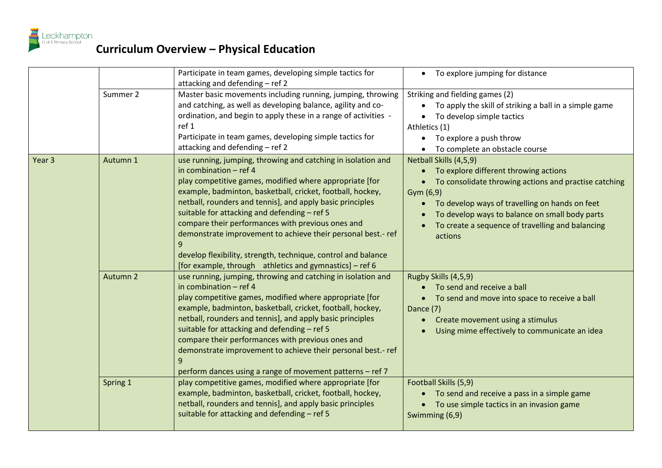

|                   |          | Participate in team games, developing simple tactics for<br>attacking and defending - ref 2                                                                                                                                                                                                                                                                                                                                                                                                                                                                                     | • To explore jumping for distance                                                                                                                                                                                                                                                                          |
|-------------------|----------|---------------------------------------------------------------------------------------------------------------------------------------------------------------------------------------------------------------------------------------------------------------------------------------------------------------------------------------------------------------------------------------------------------------------------------------------------------------------------------------------------------------------------------------------------------------------------------|------------------------------------------------------------------------------------------------------------------------------------------------------------------------------------------------------------------------------------------------------------------------------------------------------------|
|                   | Summer 2 | Master basic movements including running, jumping, throwing<br>and catching, as well as developing balance, agility and co-<br>ordination, and begin to apply these in a range of activities -<br>ref 1<br>Participate in team games, developing simple tactics for<br>attacking and defending - ref 2                                                                                                                                                                                                                                                                          | Striking and fielding games (2)<br>To apply the skill of striking a ball in a simple game<br>To develop simple tactics<br>Athletics (1)<br>• To explore a push throw<br>• To complete an obstacle course                                                                                                   |
| Year <sub>3</sub> | Autumn 1 | use running, jumping, throwing and catching in isolation and<br>in combination $-$ ref 4<br>play competitive games, modified where appropriate [for<br>example, badminton, basketball, cricket, football, hockey,<br>netball, rounders and tennis], and apply basic principles<br>suitable for attacking and defending - ref 5<br>compare their performances with previous ones and<br>demonstrate improvement to achieve their personal best.- ref<br>develop flexibility, strength, technique, control and balance<br>[for example, through athletics and gymnastics] – ref 6 | Netball Skills (4,5,9)<br>To explore different throwing actions<br>To consolidate throwing actions and practise catching<br>Gym $(6,9)$<br>To develop ways of travelling on hands on feet<br>To develop ways to balance on small body parts<br>To create a sequence of travelling and balancing<br>actions |
|                   | Autumn 2 | use running, jumping, throwing and catching in isolation and<br>in combination $-$ ref 4<br>play competitive games, modified where appropriate [for<br>example, badminton, basketball, cricket, football, hockey,<br>netball, rounders and tennis], and apply basic principles<br>suitable for attacking and defending - ref 5<br>compare their performances with previous ones and<br>demonstrate improvement to achieve their personal best.- ref<br>perform dances using a range of movement patterns - ref 7                                                                | Rugby Skills (4,5,9)<br>To send and receive a ball<br>• To send and move into space to receive a ball<br>Dance (7)<br>Create movement using a stimulus<br>Using mime effectively to communicate an idea                                                                                                    |
|                   | Spring 1 | play competitive games, modified where appropriate [for<br>example, badminton, basketball, cricket, football, hockey,<br>netball, rounders and tennis], and apply basic principles<br>suitable for attacking and defending - ref 5                                                                                                                                                                                                                                                                                                                                              | Football Skills (5,9)<br>To send and receive a pass in a simple game<br>To use simple tactics in an invasion game<br>Swimming (6,9)                                                                                                                                                                        |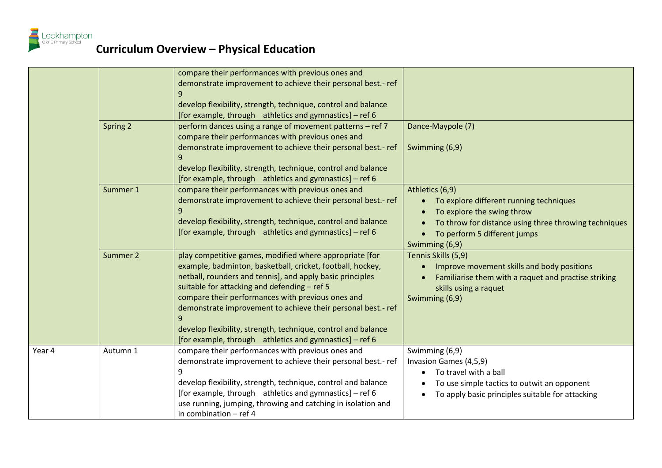

|        |          | compare their performances with previous ones and<br>demonstrate improvement to achieve their personal best.- ref<br>9<br>develop flexibility, strength, technique, control and balance<br>[for example, through athletics and gymnastics] - ref 6                                                                                                                                                                                                                                       |                                                                                                                                                                                                     |
|--------|----------|------------------------------------------------------------------------------------------------------------------------------------------------------------------------------------------------------------------------------------------------------------------------------------------------------------------------------------------------------------------------------------------------------------------------------------------------------------------------------------------|-----------------------------------------------------------------------------------------------------------------------------------------------------------------------------------------------------|
|        | Spring 2 | perform dances using a range of movement patterns - ref 7<br>compare their performances with previous ones and<br>demonstrate improvement to achieve their personal best.- ref<br>9<br>develop flexibility, strength, technique, control and balance<br>[for example, through athletics and gymnastics] - ref 6                                                                                                                                                                          | Dance-Maypole (7)<br>Swimming (6,9)                                                                                                                                                                 |
|        | Summer 1 | compare their performances with previous ones and<br>demonstrate improvement to achieve their personal best.- ref<br>9<br>develop flexibility, strength, technique, control and balance<br>[for example, through athletics and gymnastics] – ref 6                                                                                                                                                                                                                                       | Athletics (6,9)<br>To explore different running techniques<br>To explore the swing throw<br>To throw for distance using three throwing techniques<br>To perform 5 different jumps<br>Swimming (6,9) |
|        | Summer 2 | play competitive games, modified where appropriate [for<br>example, badminton, basketball, cricket, football, hockey,<br>netball, rounders and tennis], and apply basic principles<br>suitable for attacking and defending - ref 5<br>compare their performances with previous ones and<br>demonstrate improvement to achieve their personal best.- ref<br>9<br>develop flexibility, strength, technique, control and balance<br>[for example, through athletics and gymnastics] - ref 6 | Tennis Skills (5,9)<br>Improve movement skills and body positions<br>$\bullet$<br>Familiarise them with a raquet and practise striking<br>skills using a raquet<br>Swimming (6,9)                   |
| Year 4 | Autumn 1 | compare their performances with previous ones and<br>demonstrate improvement to achieve their personal best.- ref<br>9<br>develop flexibility, strength, technique, control and balance<br>[for example, through athletics and gymnastics] - ref 6<br>use running, jumping, throwing and catching in isolation and<br>in combination $-$ ref 4                                                                                                                                           | Swimming (6,9)<br>Invasion Games (4,5,9)<br>To travel with a ball<br>To use simple tactics to outwit an opponent<br>To apply basic principles suitable for attacking<br>$\bullet$                   |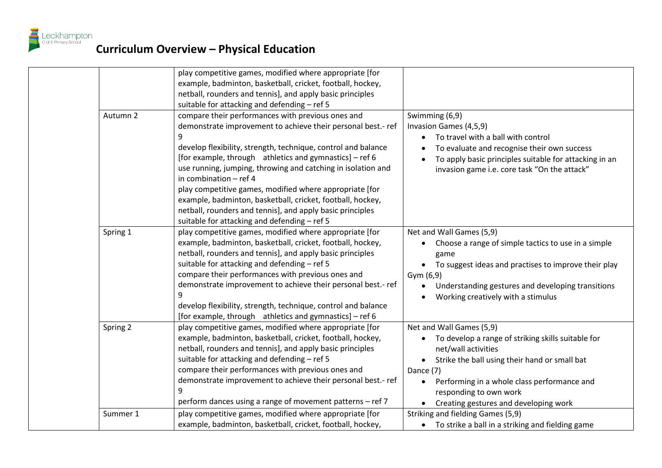

|          | play competitive games, modified where appropriate [for<br>example, badminton, basketball, cricket, football, hockey,<br>netball, rounders and tennis], and apply basic principles<br>suitable for attacking and defending - ref 5                                                                                                                                                                                                                                                                                                                                                   |                                                                                                                                                                                                                                                                                                                 |
|----------|--------------------------------------------------------------------------------------------------------------------------------------------------------------------------------------------------------------------------------------------------------------------------------------------------------------------------------------------------------------------------------------------------------------------------------------------------------------------------------------------------------------------------------------------------------------------------------------|-----------------------------------------------------------------------------------------------------------------------------------------------------------------------------------------------------------------------------------------------------------------------------------------------------------------|
| Autumn 2 | compare their performances with previous ones and<br>demonstrate improvement to achieve their personal best.- ref<br>9<br>develop flexibility, strength, technique, control and balance<br>[for example, through athletics and gymnastics] - ref 6<br>use running, jumping, throwing and catching in isolation and<br>in combination $-$ ref 4<br>play competitive games, modified where appropriate [for<br>example, badminton, basketball, cricket, football, hockey,<br>netball, rounders and tennis], and apply basic principles<br>suitable for attacking and defending - ref 5 | Swimming (6,9)<br>Invasion Games (4,5,9)<br>To travel with a ball with control<br>To evaluate and recognise their own success<br>To apply basic principles suitable for attacking in an<br>invasion game i.e. core task "On the attack"                                                                         |
| Spring 1 | play competitive games, modified where appropriate [for<br>example, badminton, basketball, cricket, football, hockey,<br>netball, rounders and tennis], and apply basic principles<br>suitable for attacking and defending - ref 5<br>compare their performances with previous ones and<br>demonstrate improvement to achieve their personal best.- ref<br>9<br>develop flexibility, strength, technique, control and balance<br>[for example, through athletics and gymnastics] - ref 6                                                                                             | Net and Wall Games (5,9)<br>Choose a range of simple tactics to use in a simple<br>game<br>To suggest ideas and practises to improve their play<br>$\bullet$<br>Gym (6,9)<br>Understanding gestures and developing transitions<br>$\bullet$<br>Working creatively with a stimulus                               |
| Spring 2 | play competitive games, modified where appropriate [for<br>example, badminton, basketball, cricket, football, hockey,<br>netball, rounders and tennis], and apply basic principles<br>suitable for attacking and defending - ref 5<br>compare their performances with previous ones and<br>demonstrate improvement to achieve their personal best.- ref<br>9<br>perform dances using a range of movement patterns - ref 7                                                                                                                                                            | Net and Wall Games (5,9)<br>To develop a range of striking skills suitable for<br>net/wall activities<br>Strike the ball using their hand or small bat<br>$\bullet$<br>Dance (7)<br>Performing in a whole class performance and<br>$\bullet$<br>responding to own work<br>Creating gestures and developing work |
| Summer 1 | play competitive games, modified where appropriate [for<br>example, badminton, basketball, cricket, football, hockey,                                                                                                                                                                                                                                                                                                                                                                                                                                                                | Striking and fielding Games (5,9)<br>To strike a ball in a striking and fielding game<br>$\bullet$                                                                                                                                                                                                              |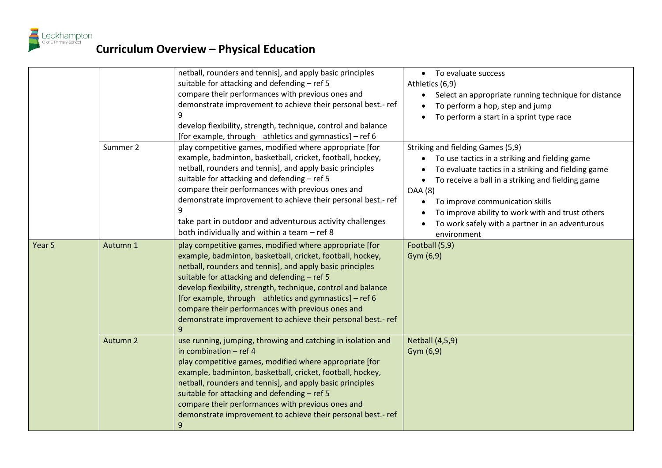

|        |          | netball, rounders and tennis], and apply basic principles<br>suitable for attacking and defending - ref 5<br>compare their performances with previous ones and<br>demonstrate improvement to achieve their personal best.- ref<br>develop flexibility, strength, technique, control and balance<br>[for example, through athletics and gymnastics] – ref 6                                                                                                                               | • To evaluate success<br>Athletics (6,9)<br>Select an appropriate running technique for distance<br>$\bullet$<br>To perform a hop, step and jump<br>To perform a start in a sprint type race                                                                                                                                                                               |
|--------|----------|------------------------------------------------------------------------------------------------------------------------------------------------------------------------------------------------------------------------------------------------------------------------------------------------------------------------------------------------------------------------------------------------------------------------------------------------------------------------------------------|----------------------------------------------------------------------------------------------------------------------------------------------------------------------------------------------------------------------------------------------------------------------------------------------------------------------------------------------------------------------------|
|        | Summer 2 | play competitive games, modified where appropriate [for<br>example, badminton, basketball, cricket, football, hockey,<br>netball, rounders and tennis], and apply basic principles<br>suitable for attacking and defending - ref 5<br>compare their performances with previous ones and<br>demonstrate improvement to achieve their personal best.- ref<br>take part in outdoor and adventurous activity challenges<br>both individually and within a team - ref 8                       | Striking and fielding Games (5,9)<br>To use tactics in a striking and fielding game<br>To evaluate tactics in a striking and fielding game<br>To receive a ball in a striking and fielding game<br><b>OAA</b> (8)<br>To improve communication skills<br>To improve ability to work with and trust others<br>To work safely with a partner in an adventurous<br>environment |
| Year 5 | Autumn 1 | play competitive games, modified where appropriate [for<br>example, badminton, basketball, cricket, football, hockey,<br>netball, rounders and tennis], and apply basic principles<br>suitable for attacking and defending - ref 5<br>develop flexibility, strength, technique, control and balance<br>[for example, through athletics and gymnastics] - ref 6<br>compare their performances with previous ones and<br>demonstrate improvement to achieve their personal best.- ref<br>9 | Football (5,9)<br>Gym (6,9)                                                                                                                                                                                                                                                                                                                                                |
|        | Autumn 2 | use running, jumping, throwing and catching in isolation and<br>in combination - ref 4<br>play competitive games, modified where appropriate [for<br>example, badminton, basketball, cricket, football, hockey,<br>netball, rounders and tennis], and apply basic principles<br>suitable for attacking and defending - ref 5<br>compare their performances with previous ones and<br>demonstrate improvement to achieve their personal best.- ref<br>9                                   | <b>Netball (4,5,9)</b><br>Gym (6,9)                                                                                                                                                                                                                                                                                                                                        |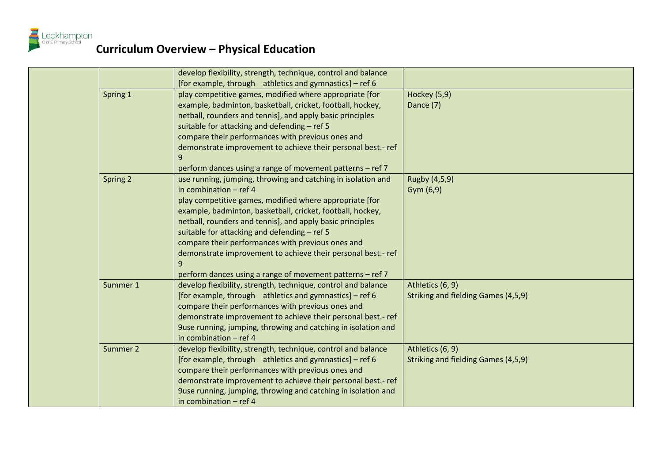

|          | develop flexibility, strength, technique, control and balance |                                     |
|----------|---------------------------------------------------------------|-------------------------------------|
|          | [for example, through athletics and gymnastics] – ref 6       |                                     |
| Spring 1 | play competitive games, modified where appropriate [for       | Hockey (5,9)                        |
|          | example, badminton, basketball, cricket, football, hockey,    | Dance (7)                           |
|          | netball, rounders and tennis], and apply basic principles     |                                     |
|          | suitable for attacking and defending - ref 5                  |                                     |
|          | compare their performances with previous ones and             |                                     |
|          | demonstrate improvement to achieve their personal best.- ref  |                                     |
|          | 9                                                             |                                     |
|          | perform dances using a range of movement patterns - ref 7     |                                     |
| Spring 2 | use running, jumping, throwing and catching in isolation and  | Rugby (4,5,9)                       |
|          | in combination $-$ ref 4                                      | Gym (6,9)                           |
|          | play competitive games, modified where appropriate [for       |                                     |
|          | example, badminton, basketball, cricket, football, hockey,    |                                     |
|          | netball, rounders and tennis], and apply basic principles     |                                     |
|          | suitable for attacking and defending - ref 5                  |                                     |
|          | compare their performances with previous ones and             |                                     |
|          | demonstrate improvement to achieve their personal best.- ref  |                                     |
|          |                                                               |                                     |
|          | perform dances using a range of movement patterns - ref 7     |                                     |
| Summer 1 | develop flexibility, strength, technique, control and balance | Athletics (6, 9)                    |
|          | [for example, through athletics and gymnastics] - ref 6       | Striking and fielding Games (4,5,9) |
|          | compare their performances with previous ones and             |                                     |
|          | demonstrate improvement to achieve their personal best.- ref  |                                     |
|          | 9use running, jumping, throwing and catching in isolation and |                                     |
|          | in combination $-$ ref 4                                      |                                     |
| Summer 2 | develop flexibility, strength, technique, control and balance | Athletics (6, 9)                    |
|          | [for example, through athletics and gymnastics] – ref 6       | Striking and fielding Games (4,5,9) |
|          | compare their performances with previous ones and             |                                     |
|          | demonstrate improvement to achieve their personal best.- ref  |                                     |
|          | 9use running, jumping, throwing and catching in isolation and |                                     |
|          | in combination - ref 4                                        |                                     |
|          |                                                               |                                     |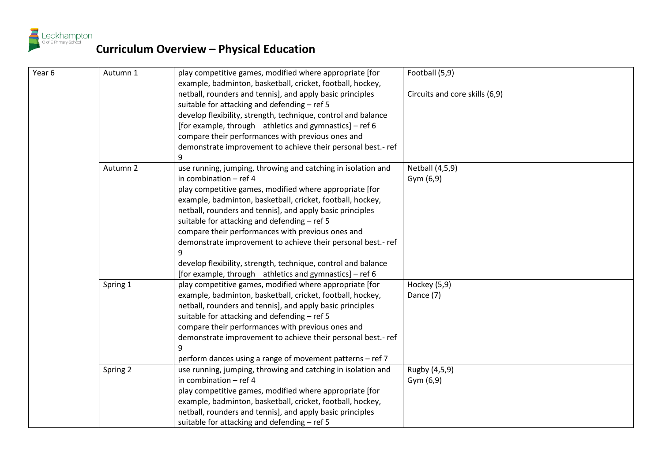

| Year 6 | Autumn 1 | play competitive games, modified where appropriate [for<br>example, badminton, basketball, cricket, football, hockey, | Football (5,9)                 |
|--------|----------|-----------------------------------------------------------------------------------------------------------------------|--------------------------------|
|        |          | netball, rounders and tennis], and apply basic principles                                                             | Circuits and core skills (6,9) |
|        |          | suitable for attacking and defending - ref 5                                                                          |                                |
|        |          | develop flexibility, strength, technique, control and balance                                                         |                                |
|        |          | [for example, through athletics and gymnastics] – ref 6                                                               |                                |
|        |          | compare their performances with previous ones and                                                                     |                                |
|        |          | demonstrate improvement to achieve their personal best.- ref                                                          |                                |
|        |          | 9                                                                                                                     |                                |
|        | Autumn 2 | use running, jumping, throwing and catching in isolation and                                                          | Netball (4,5,9)                |
|        |          | in combination $-$ ref 4                                                                                              | Gym(6,9)                       |
|        |          | play competitive games, modified where appropriate [for                                                               |                                |
|        |          | example, badminton, basketball, cricket, football, hockey,                                                            |                                |
|        |          | netball, rounders and tennis], and apply basic principles                                                             |                                |
|        |          | suitable for attacking and defending - ref 5                                                                          |                                |
|        |          | compare their performances with previous ones and                                                                     |                                |
|        |          | demonstrate improvement to achieve their personal best.- ref                                                          |                                |
|        |          | 9                                                                                                                     |                                |
|        |          | develop flexibility, strength, technique, control and balance                                                         |                                |
|        |          | [for example, through athletics and gymnastics] – ref 6                                                               |                                |
|        | Spring 1 | play competitive games, modified where appropriate [for                                                               | Hockey (5,9)                   |
|        |          | example, badminton, basketball, cricket, football, hockey,                                                            | Dance (7)                      |
|        |          | netball, rounders and tennis], and apply basic principles                                                             |                                |
|        |          | suitable for attacking and defending - ref 5                                                                          |                                |
|        |          | compare their performances with previous ones and                                                                     |                                |
|        |          | demonstrate improvement to achieve their personal best.- ref                                                          |                                |
|        |          | 9                                                                                                                     |                                |
|        |          | perform dances using a range of movement patterns - ref 7                                                             |                                |
|        | Spring 2 | use running, jumping, throwing and catching in isolation and                                                          | Rugby (4,5,9)                  |
|        |          | in combination - ref 4                                                                                                | Gym $(6,9)$                    |
|        |          | play competitive games, modified where appropriate [for                                                               |                                |
|        |          | example, badminton, basketball, cricket, football, hockey,                                                            |                                |
|        |          | netball, rounders and tennis], and apply basic principles                                                             |                                |
|        |          | suitable for attacking and defending - ref 5                                                                          |                                |